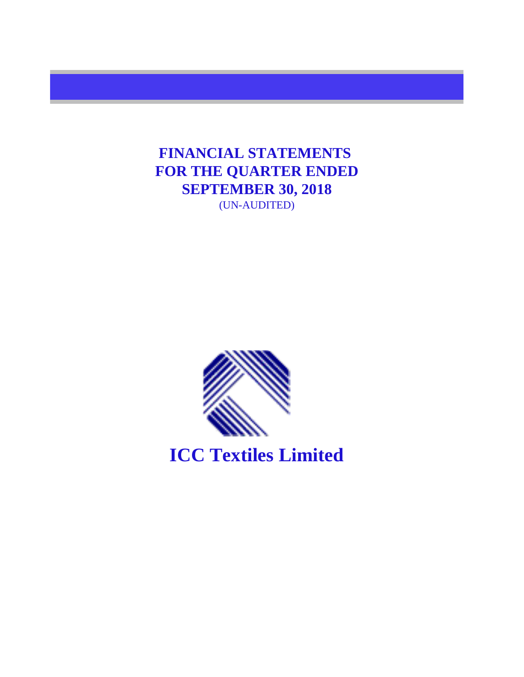**FINANCIAL STATEMENTS**  (UN-AUDITED) **FOR THE QUARTER ENDED SEPTEMBER 30, 2018**



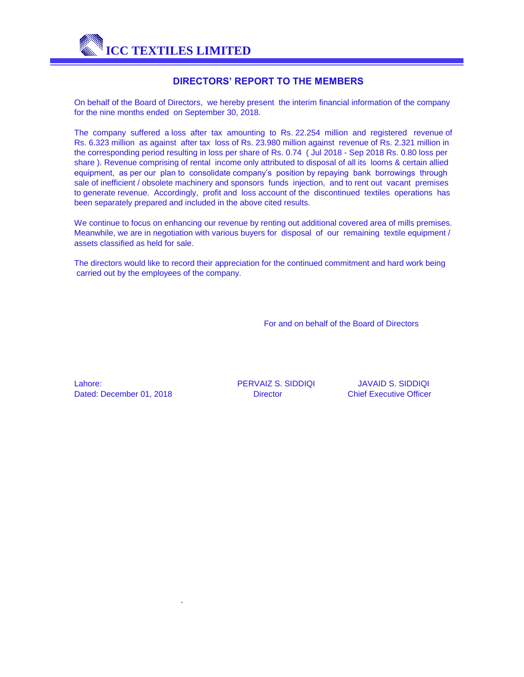

## **DIRECTORS' REPORT TO THE MEMBERS**

On behalf of the Board of Directors, we hereby present the interim financial information of the company for the nine months ended on September 30, 2018.

share ). Revenue comprising of rental income only attributed to disposal of all its looms & certain allied equipment, as per our plan to consolidate company's position by repaying bank borrowings through sale of inefficient / obsolete machinery and sponsors funds injection, and to rent out vacant premises to generate revenue. Accordingly, profit and loss account of the discontinued textiles operations has been separately prepared and included in the above cited results. The company suffered a loss after tax amounting to Rs. 22.254 million and registered revenue of Rs. 6.323 million as against after tax loss of Rs. 23.980 million against revenue of Rs. 2.321 million in the corresponding period resulting in loss per share of Rs. 0.74 ( Jul 2018 - Sep 2018 Rs. 0.80 loss per

We continue to focus on enhancing our revenue by renting out additional covered area of mills premises. Meanwhile, we are in negotiation with various buyers for disposal of our remaining textile equipment / assets classified as held for sale.

The directors would like to record their appreciation for the continued commitment and hard work being carried out by the employees of the company.

For and on behalf of the Board of Directors

Dated: December 01, 2018 **Director** Director Chief Executive Officer Lahore: PERVAIZ S. SIDDIQI JAVAID S. SIDDIQI

`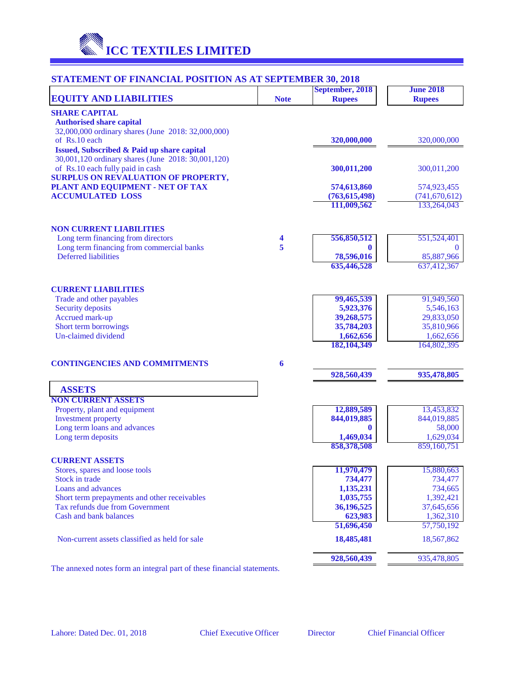

# **STATEMENT OF FINANCIAL POSITION AS AT SEPTEMBER 30, 2018**

| <b>EQUITY AND LIABILITIES</b>                                                                    | <b>Note</b> | September, 2018<br><b>Rupees</b> | <b>June 2018</b><br><b>Rupees</b> |
|--------------------------------------------------------------------------------------------------|-------------|----------------------------------|-----------------------------------|
| <b>SHARE CAPITAL</b>                                                                             |             |                                  |                                   |
| <b>Authorised share capital</b>                                                                  |             |                                  |                                   |
| 32,000,000 ordinary shares (June 2018: 32,000,000)                                               |             |                                  |                                   |
| of Rs.10 each                                                                                    |             | 320,000,000                      | 320,000,000                       |
| Issued, Subscribed & Paid up share capital<br>30,001,120 ordinary shares (June 2018: 30,001,120) |             |                                  |                                   |
| of Rs.10 each fully paid in cash                                                                 |             | 300,011,200                      | 300,011,200                       |
| <b>SURPLUS ON REVALUATION OF PROPERTY,</b>                                                       |             |                                  |                                   |
| PLANT AND EQUIPMENT - NET OF TAX                                                                 |             | 574,613,860                      | 574,923,455                       |
| <b>ACCUMULATED LOSS</b>                                                                          |             | (763, 615, 498)                  | (741, 670, 612)                   |
|                                                                                                  |             | 111,009,562                      | 133,264,043                       |
| <b>NON CURRENT LIABILITIES</b>                                                                   |             |                                  |                                   |
| Long term financing from directors                                                               | 4           | 556,850,512                      | 551,524,401                       |
| Long term financing from commercial banks                                                        | 5           | $\bf{0}$                         | $\theta$                          |
| <b>Deferred</b> liabilities                                                                      |             | 78,596,016                       | 85,887,966                        |
|                                                                                                  |             | 635,446,528                      | 637,412,367                       |
| <b>CURRENT LIABILITIES</b>                                                                       |             |                                  |                                   |
| Trade and other payables                                                                         |             | 99,465,539                       | 91,949,560                        |
| Security deposits                                                                                |             | 5,923,376                        | 5,546,163                         |
| Accrued mark-up                                                                                  |             | 39,268,575                       | 29,833,050                        |
| Short term borrowings<br><b>Un-claimed dividend</b>                                              |             | 35,784,203<br>1,662,656          | 35,810,966                        |
|                                                                                                  |             | 182, 104, 349                    | 1,662,656<br>164,802,395          |
| <b>CONTINGENCIES AND COMMITMENTS</b>                                                             | 6           |                                  |                                   |
|                                                                                                  |             | 928,560,439                      | 935,478,805                       |
| <b>ASSETS</b><br><b>NON CURRENT ASSETS</b>                                                       |             |                                  |                                   |
| Property, plant and equipment                                                                    |             | 12,889,589                       | 13,453,832                        |
| <b>Investment</b> property                                                                       |             | 844,019,885                      | 844,019,885                       |
| Long term loans and advances                                                                     |             | $\bf{0}$                         | 58,000                            |
| Long term deposits                                                                               |             | 1,469,034                        | 1,629,034                         |
|                                                                                                  |             | 858,378,508                      | 859,160,751                       |
| <b>CURRENT ASSETS</b>                                                                            |             |                                  |                                   |
| Stores, spares and loose tools                                                                   |             | 11,970,479                       | 15,880,663                        |
| Stock in trade                                                                                   |             | 734,477                          | 734,477                           |
| Loans and advances                                                                               |             | 1,135,231                        | 734,665                           |
| Short term prepayments and other receivables<br>Tax refunds due from Government                  |             | 1,035,755<br>36,196,525          | 1,392,421                         |
| Cash and bank balances                                                                           |             | 623,983                          | 37,645,656<br>1,362,310           |
|                                                                                                  |             | 51,696,450                       | 57,750,192                        |
| Non-current assets classified as held for sale                                                   |             | 18,485,481                       | 18,567,862                        |
|                                                                                                  |             | 928,560,439                      | 935,478,805                       |

The annexed notes form an integral part of these financial statements.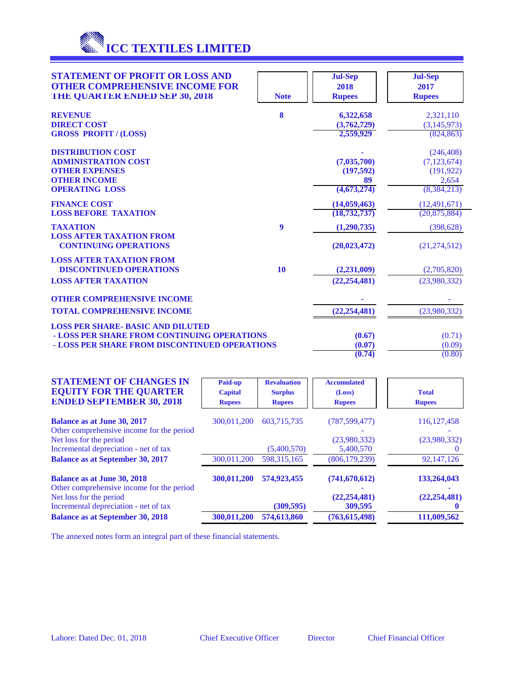

| <b>STATEMENT OF PROFIT OR LOSS AND</b><br><b>OTHER COMPREHENSIVE INCOME FOR</b><br>THE QUARTER ENDED SEP 30, 2018 | <b>Note</b> | <b>Jul-Sep</b><br>2018<br><b>Rupees</b> | <b>Jul-Sep</b><br>2017<br><b>Rupees</b> |
|-------------------------------------------------------------------------------------------------------------------|-------------|-----------------------------------------|-----------------------------------------|
| <b>REVENUE</b>                                                                                                    | 8           | 6,322,658                               | 2,321,110                               |
| <b>DIRECT COST</b>                                                                                                |             | (3,762,729)                             | (3,145,973)                             |
| <b>GROSS PROFIT / (LOSS)</b>                                                                                      |             | 2,559,929                               | (824, 863)                              |
| <b>DISTRIBUTION COST</b>                                                                                          |             |                                         | (246, 408)                              |
| <b>ADMINISTRATION COST</b>                                                                                        |             | (7,035,700)                             | (7, 123, 674)                           |
| <b>OTHER EXPENSES</b>                                                                                             |             | (197,592)                               | (191, 922)                              |
| <b>OTHER INCOME</b>                                                                                               |             | 89                                      | 2,654                                   |
| <b>OPERATING LOSS</b>                                                                                             |             | (4,673,274)                             | (8, 384, 213)                           |
| <b>FINANCE COST</b>                                                                                               |             | (14,059,463)                            | (12, 491, 671)                          |
| <b>LOSS BEFORE TAXATION</b>                                                                                       |             | (18, 732, 737)                          | (20, 875, 884)                          |
| <b>TAXATION</b>                                                                                                   | 9           | (1,290,735)                             | (398, 628)                              |
| <b>LOSS AFTER TAXATION FROM</b><br><b>CONTINUING OPERATIONS</b>                                                   |             | (20, 023, 472)                          | (21, 274, 512)                          |
| <b>LOSS AFTER TAXATION FROM</b>                                                                                   |             |                                         |                                         |
| <b>DISCONTINUED OPERATIONS</b>                                                                                    | 10          | (2,231,009)                             | (2,705,820)                             |
| <b>LOSS AFTER TAXATION</b>                                                                                        |             | (22, 254, 481)                          | (23,980,332)                            |
| <b>OTHER COMPREHENSIVE INCOME</b>                                                                                 |             |                                         |                                         |
| <b>TOTAL COMPREHENSIVE INCOME</b>                                                                                 |             | (22, 254, 481)                          | (23,980,332)                            |
|                                                                                                                   |             |                                         |                                         |
| <b>LOSS PER SHARE- BASIC AND DILUTED</b>                                                                          |             |                                         |                                         |
| - LOSS PER SHARE FROM CONTINUING OPERATIONS                                                                       |             | (0.67)                                  | (0.71)                                  |
| - LOSS PER SHARE FROM DISCONTINUED OPERATIONS                                                                     |             | (0.07)                                  | (0.09)                                  |
|                                                                                                                   |             | (0.74)                                  | (0.80)                                  |

| <b>STATEMENT OF CHANGES IN</b><br><b>EQUITY FOR THE QUARTER</b><br><b>ENDED SEPTEMBER 30, 2018</b>         | Paid-up<br><b>Capital</b><br><b>Rupees</b> | <b>Revaluation</b><br><b>Surplus</b><br><b>Rupees</b> | <b>Accumulated</b><br>(Loss)<br><b>Rupees</b> | <b>Total</b><br><b>Rupees</b> |
|------------------------------------------------------------------------------------------------------------|--------------------------------------------|-------------------------------------------------------|-----------------------------------------------|-------------------------------|
| <b>Balance as at June 30, 2017</b><br>Other comprehensive income for the period<br>Net loss for the period | 300,011,200                                | 603.715.735                                           | (787, 599, 477)<br>(23,980,332)               | 116, 127, 458<br>(23,980,332) |
| Incremental depreciation - net of tax                                                                      |                                            | (5,400,570)                                           | 5,400,570                                     |                               |
| <b>Balance as at September 30, 2017</b>                                                                    | 300,011,200                                | 598, 315, 165                                         | (806, 179, 239)                               | 92,147,126                    |
| <b>Balance as at June 30, 2018</b><br>Other comprehensive income for the period                            | 300,011,200                                | 574,923,455                                           | (741, 670, 612)                               | 133,264,043                   |
| Net loss for the period<br>Incremental depreciation - net of tax                                           |                                            | (309, 595)                                            | (22, 254, 481)<br>309,595                     | (22, 254, 481)                |
| <b>Balance as at September 30, 2018</b>                                                                    | 300,011,200                                | 574,613,860                                           | (763, 615, 498)                               | 111,009,562                   |

The annexed notes form an integral part of these financial statements.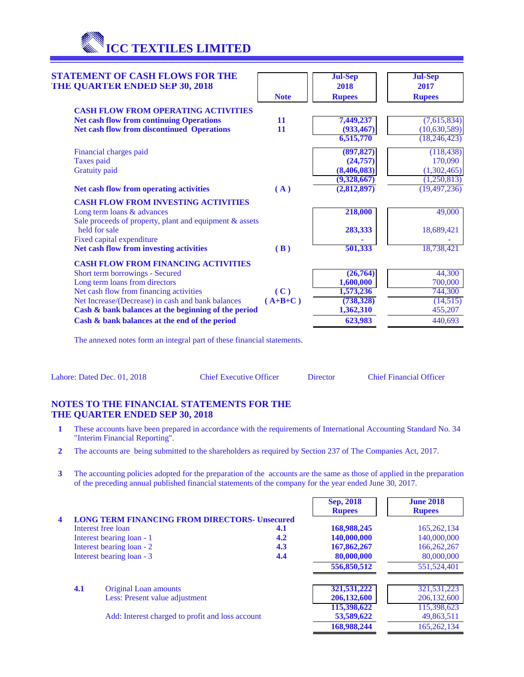**ICC TEXTILES LIMITED**

| <b>STATEMENT OF CASH FLOWS FOR THE</b><br><b>THE QUARTER ENDED SEP 30, 2018</b> |             | <b>Jul-Sep</b><br>2018 | <b>Jul-Sep</b><br>2017 |
|---------------------------------------------------------------------------------|-------------|------------------------|------------------------|
|                                                                                 | <b>Note</b> | <b>Rupees</b>          | <b>Rupees</b>          |
| <b>CASH FLOW FROM OPERATING ACTIVITIES</b>                                      |             |                        |                        |
| <b>Net cash flow from continuing Operations</b>                                 | 11          | 7,449,237              | (7,615,834)            |
| <b>Net cash flow from discontinued Operations</b>                               | 11          | (933, 467)             | (10,630,589)           |
|                                                                                 |             | 6,515,770              | (18, 246, 423)         |
| Financial charges paid                                                          |             | (897, 827)             | (118, 438)             |
| <b>Taxes</b> paid                                                               |             | (24, 757)              | 170,090                |
| <b>Gratuity</b> paid                                                            |             | (8,406,083)            | (1,302,465)            |
|                                                                                 |             | (9,328,667)            | (1,250,813)            |
| Net cash flow from operating activities                                         | (A)         | (2,812,897)            | (19, 497, 236)         |
| <b>CASH FLOW FROM INVESTING ACTIVITIES</b>                                      |             |                        |                        |
| Long term loans & advances                                                      |             | 218,000                | 49,000                 |
| Sale proceeds of property, plant and equipment & assets<br>held for sale        |             | 283,333                | 18,689,421             |
| Fixed capital expenditure                                                       |             |                        |                        |
| Net cash flow from investing activities                                         | (B)         | 501,333                | 18,738,421             |
| <b>CASH FLOW FROM FINANCING ACTIVITIES</b>                                      |             |                        |                        |
| Short term borrowings - Secured                                                 |             | (26, 764)              | 44,300                 |
| Long term loans from directors                                                  |             | 1,600,000              | 700,000                |
| Net cash flow from financing activities                                         | (C)         | 1,573,236              | 744,300                |
| Net Increase/(Decrease) in cash and bank balances                               | $(A+B+C)$   | (738, 328)             | (14,515)               |
| Cash & bank balances at the beginning of the period                             |             | 1,362,310              | 455,207                |
| Cash & bank balances at the end of the period                                   |             | 623,983                | 440,693                |

The annexed notes form an integral part of these financial statements.

Lahore: Dated Dec. 01, 2018 Chief Executive Officer Director Chief Financial Officer

## **NOTES TO THE FINANCIAL STATEMENTS FOR THE THE QUARTER ENDED SEP 30, 2018**

- **1** These accounts have been prepared in accordance with the requirements of International Accounting Standard No. 34 "Interim Financial Reporting".
- **2** The accounts are being submitted to the shareholders as required by Section 237 of The Companies Act, 2017.
- **3** The accounting policies adopted for the preparation of the accounts are the same as those of applied in the preparation of the preceding annual published financial statements of the company for the year ended June 30, 2017.

|                |     |                                                      |     | Sep, 2018<br><b>Rupees</b> | <b>June 2018</b><br><b>Rupees</b> |
|----------------|-----|------------------------------------------------------|-----|----------------------------|-----------------------------------|
| $\overline{4}$ |     | <b>LONG TERM FINANCING FROM DIRECTORS- Unsecured</b> |     |                            |                                   |
|                |     | Interest free loan                                   | 4.1 | 168,988,245                | 165, 262, 134                     |
|                |     | Interest bearing loan - 1                            | 4.2 | 140,000,000                | 140,000,000                       |
|                |     | Interest bearing loan - 2                            | 4.3 | 167,862,267                | 166,262,267                       |
|                |     | Interest bearing loan - 3                            | 4.4 | 80,000,000                 | 80,000,000                        |
|                |     |                                                      |     | 556,850,512                | 551, 524, 401                     |
|                | 4.1 | Original Loan amounts                                |     | 321,531,222                | 321,531,223                       |
|                |     | Less: Present value adjustment                       |     | 206, 132, 600              | 206, 132, 600                     |
|                |     |                                                      |     | 115,398,622                | 115,398,623                       |
|                |     | Add: Interest charged to profit and loss account     |     | 53,589,622                 | 49,863,511                        |
|                |     |                                                      |     | 168,988,244                | 165,262,134                       |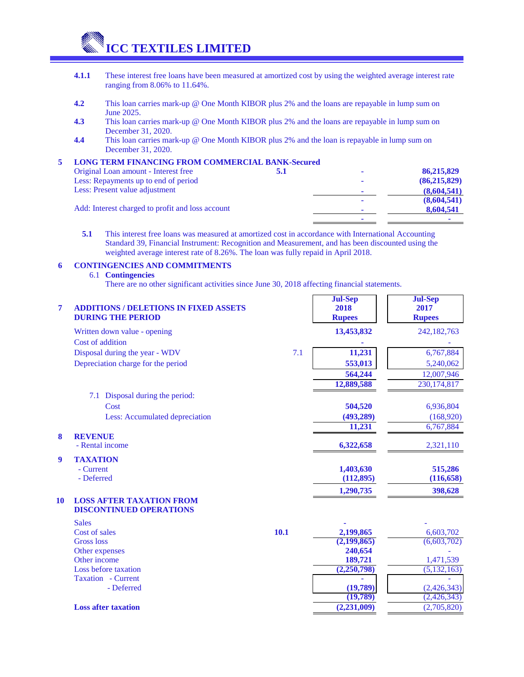**ICC TEXTILES LIMITED**

- **4.1.1** These interest free loans have been measured at amortized cost by using the weighted average interest rate ranging from 8.06% to 11.64%.
- **4.2** This loan carries mark-up @ One Month KIBOR plus 2% and the loans are repayable in lump sum on June 2025.
- **4.3** This loan carries mark-up @ One Month KIBOR plus 2% and the loans are repayable in lump sum on December 31, 2020.
- **4.4** This loan carries mark-up @ One Month KIBOR plus 2% and the loan is repayable in lump sum on December 31, 2020.

#### **5 LONG TERM FINANCING FROM COMMERCIAL BANK-Secured**

| Original Loan amount - Interest free             | 5.1 |                | 86,215,829     |
|--------------------------------------------------|-----|----------------|----------------|
| Less: Repayments up to end of period             |     |                | (86, 215, 829) |
| Less: Present value adjustment                   |     | ۰              | (8,604,541)    |
| Add: Interest charged to profit and loss account |     | $\blacksquare$ | (8,604,541)    |
|                                                  |     | ۰              | 8,604,541      |
|                                                  |     | ۰              |                |

**5.1** This interest free loans was measured at amortized cost in accordance with International Accounting Standard 39, Financial Instrument: Recognition and Measurement, and has been discounted using the weighted average interest rate of 8.26%. The loan was fully repaid in April 2018.

#### **6 CONTINGENCIES AND COMMITMENTS**

#### 6.1 **Contingencies**

There are no other significant activities since June 30, 2018 affecting financial statements.

| $\overline{7}$   | <b>ADDITIONS / DELETIONS IN FIXED ASSETS</b><br><b>DURING THE PERIOD</b> |      | <b>Jul-Sep</b><br>2018<br><b>Rupees</b> | <b>Jul-Sep</b><br>2017<br><b>Rupees</b> |
|------------------|--------------------------------------------------------------------------|------|-----------------------------------------|-----------------------------------------|
|                  | Written down value - opening                                             |      | 13,453,832                              | 242,182,763                             |
|                  | Cost of addition                                                         |      |                                         |                                         |
|                  | Disposal during the year - WDV                                           | 7.1  | 11,231                                  | 6,767,884                               |
|                  | Depreciation charge for the period                                       |      | 553,013                                 | 5,240,062                               |
|                  |                                                                          |      | 564,244                                 | 12,007,946                              |
|                  |                                                                          |      | 12,889,588                              | 230, 174, 817                           |
|                  | Disposal during the period:<br>7.1                                       |      |                                         |                                         |
|                  | Cost                                                                     |      | 504,520                                 | 6,936,804                               |
|                  | Less: Accumulated depreciation                                           |      | (493, 289)                              | (168,920)                               |
|                  |                                                                          |      | 11,231                                  | 6,767,884                               |
| 8                | <b>REVENUE</b><br>- Rental income                                        |      | 6,322,658                               | 2,321,110                               |
| $\boldsymbol{9}$ | <b>TAXATION</b>                                                          |      |                                         |                                         |
|                  | - Current                                                                |      | 1,403,630                               | 515,286                                 |
|                  | - Deferred                                                               |      | (112, 895)                              | (116, 658)                              |
|                  |                                                                          |      | 1,290,735                               | 398,628                                 |
| 10               | <b>LOSS AFTER TAXATION FROM</b><br><b>DISCONTINUED OPERATIONS</b>        |      |                                         |                                         |
|                  | <b>Sales</b>                                                             |      |                                         |                                         |
|                  | Cost of sales                                                            | 10.1 | 2,199,865                               | 6,603,702                               |
|                  | <b>Gross</b> loss                                                        |      | (2,199,865)                             | (6,603,702)                             |
|                  | Other expenses                                                           |      | 240,654                                 |                                         |
|                  | Other income<br>Loss before taxation                                     |      | 189,721<br>(2,250,798)                  | 1,471,539                               |
|                  | Taxation - Current                                                       |      |                                         | (5, 132, 163)                           |
|                  | - Deferred                                                               |      | (19,789)                                | (2,426,343)                             |
|                  |                                                                          |      | (19,789)                                | (2, 426, 343)                           |
|                  | <b>Loss after taxation</b>                                               |      | (2, 231, 009)                           | (2,705,820)                             |
|                  |                                                                          |      |                                         |                                         |